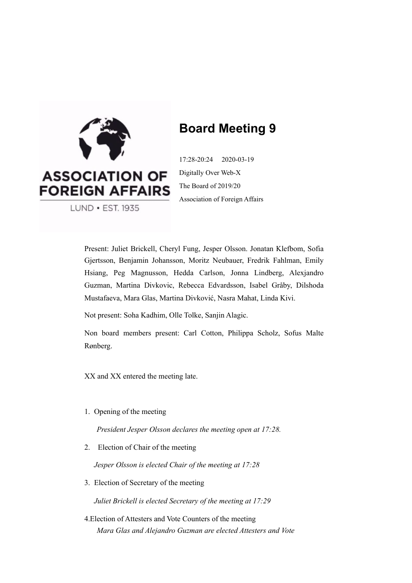

# **Board Meeting 9**

17:28-20:24 2020-03-19 Digitally Over Web-X The Board of 2019/20 Association of Foreign Affairs

LUND • EST. 1935

Present: Juliet Brickell, Cheryl Fung, Jesper Olsson. Jonatan Klefbom, Sofia Gjertsson, Benjamin Johansson, Moritz Neubauer, Fredrik Fahlman, Emily Hsiang, Peg Magnusson, Hedda Carlson, Jonna Lindberg, Alexjandro Guzman, Martina Divkovic, Rebecca Edvardsson, Isabel Gråby, Dilshoda Mustafaeva, Mara Glas, Martina Divković, Nasra Mahat, Linda Kivi.

Not present: Soha Kadhim, Olle Tolke, Sanjin Alagic.

Non board members present: Carl Cotton, Philippa Scholz, Sofus Malte Rønberg.

XX and XX entered the meeting late.

1. Opening of the meeting

*President Jesper Olsson declares the meeting open at 17:28.*

2. Election of Chair of the meeting

*Jesper Olsson is elected Chair of the meeting at 17:28*

3. Election of Secretary of the meeting

*Juliet Brickell is elected Secretary of the meeting at 17:29*

4.Election of Attesters and Vote Counters of the meeting *Mara Glas and Alejandro Guzman are elected Attesters and Vote*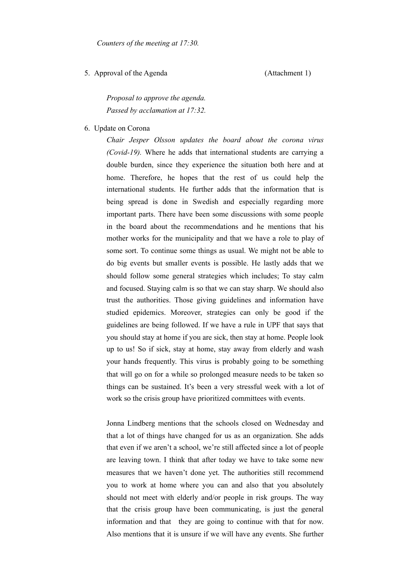5. Approval of the Agenda (Attachment 1)

*Proposal to approve the agenda. Passed by acclamation at 17:32.* 

6. Update on Corona

*Chair Jesper Olsson updates the board about the corona virus (Covid-19).* Where he adds that international students are carrying a double burden, since they experience the situation both here and at home. Therefore, he hopes that the rest of us could help the international students. He further adds that the information that is being spread is done in Swedish and especially regarding more important parts. There have been some discussions with some people in the board about the recommendations and he mentions that his mother works for the municipality and that we have a role to play of some sort. To continue some things as usual. We might not be able to do big events but smaller events is possible. He lastly adds that we should follow some general strategies which includes; To stay calm and focused. Staying calm is so that we can stay sharp. We should also trust the authorities. Those giving guidelines and information have studied epidemics. Moreover, strategies can only be good if the guidelines are being followed. If we have a rule in UPF that says that you should stay at home if you are sick, then stay at home. People look up to us! So if sick, stay at home, stay away from elderly and wash your hands frequently. This virus is probably going to be something that will go on for a while so prolonged measure needs to be taken so things can be sustained. It's been a very stressful week with a lot of work so the crisis group have prioritized committees with events.

Jonna Lindberg mentions that the schools closed on Wednesday and that a lot of things have changed for us as an organization. She adds that even if we aren't a school, we're still affected since a lot of people are leaving town. I think that after today we have to take some new measures that we haven't done yet. The authorities still recommend you to work at home where you can and also that you absolutely should not meet with elderly and/or people in risk groups. The way that the crisis group have been communicating, is just the general information and that they are going to continue with that for now. Also mentions that it is unsure if we will have any events. She further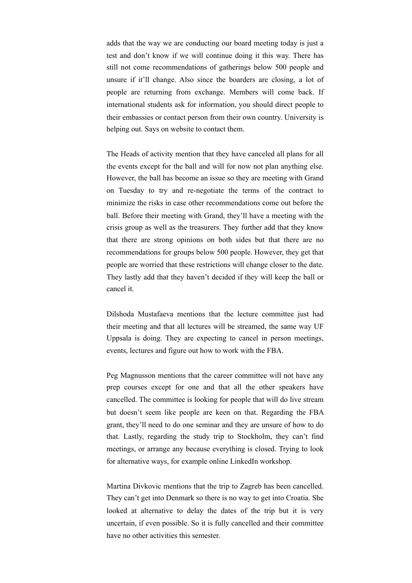adds that the way we are conducting our board meeting today is just a test and don't know if we will continue doing it this way. There has still not come recommendations of gatherings below 500 people and unsure if it'll change. Also since the boarders are closing, a lot of people are returning from exchange. Members will come back. If international students ask for information, you should direct people to their embassies or contact person from their own country. University is helping out. Says on website to contact them.

The Heads of activity mention that they have canceled all plans for all the events except for the ball and will for now not plan anything else. However, the ball has become an issue so they are meeting with Grand on Tuesday to try and re-negotiate the terms of the contract to minimize the risks in case other recommendations come out before the ball. Before their meeting with Grand, they'll have a meeting with the crisis group as well as the treasurers. They further add that they know that there are strong opinions on both sides but that there are no recommendations for groups below 500 people. However, they get that people are worried that these restrictions will change closer to the date. They lastly add that they haven't decided if they will keep the ball or cancel it.

Dilshoda Mustafaeva mentions that the lecture committee just had their meeting and that all lectures will be streamed, the same way UF Uppsala is doing. They are expecting to cancel in person meetings, events, lectures and figure out how to work with the FBA.

Peg Magnusson mentions that the career committee will not have any prep courses except for one and that all the other speakers have cancelled. The committee is looking for people that will do live stream but doesn't seem like people are keen on that. Regarding the FBA grant, they'll need to do one seminar and they are unsure of how to do that. Lastly, regarding the study trip to Stockholm, they can't find meetings, or arrange any because everything is closed. Trying to look for alternative ways, for example online LinkedIn workshop.

Martina Divkovic mentions that the trip to Zagreb has been cancelled. They can't get into Denmark so there is no way to get into Croatia. She looked at alternative to delay the dates of the trip but it is very uncertain, if even possible. So it is fully cancelled and their committee have no other activities this semester.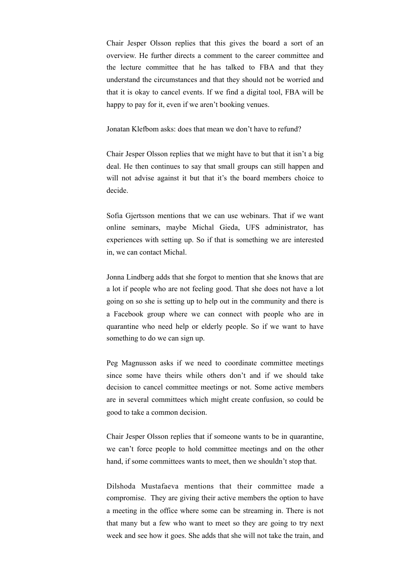Chair Jesper Olsson replies that this gives the board a sort of an overview. He further directs a comment to the career committee and the lecture committee that he has talked to FBA and that they understand the circumstances and that they should not be worried and that it is okay to cancel events. If we find a digital tool, FBA will be happy to pay for it, even if we aren't booking venues.

Jonatan Klefbom asks: does that mean we don't have to refund?

Chair Jesper Olsson replies that we might have to but that it isn't a big deal. He then continues to say that small groups can still happen and will not advise against it but that it's the board members choice to decide.

Sofia Gjertsson mentions that we can use webinars. That if we want online seminars, maybe Michal Gieda, UFS administrator, has experiences with setting up. So if that is something we are interested in, we can contact Michal.

Jonna Lindberg adds that she forgot to mention that she knows that are a lot if people who are not feeling good. That she does not have a lot going on so she is setting up to help out in the community and there is a Facebook group where we can connect with people who are in quarantine who need help or elderly people. So if we want to have something to do we can sign up.

Peg Magnusson asks if we need to coordinate committee meetings since some have theirs while others don't and if we should take decision to cancel committee meetings or not. Some active members are in several committees which might create confusion, so could be good to take a common decision.

Chair Jesper Olsson replies that if someone wants to be in quarantine, we can't force people to hold committee meetings and on the other hand, if some committees wants to meet, then we shouldn't stop that.

Dilshoda Mustafaeva mentions that their committee made a compromise. They are giving their active members the option to have a meeting in the office where some can be streaming in. There is not that many but a few who want to meet so they are going to try next week and see how it goes. She adds that she will not take the train, and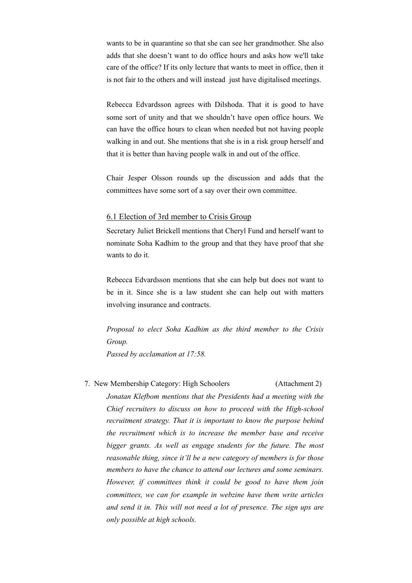wants to be in quarantine so that she can see her grandmother. She also adds that she doesn't want to do office hours and asks how we'll take care of the office? If its only lecture that wants to meet in office, then it is not fair to the others and will instead just have digitalised meetings.

Rebecca Edvardsson agrees with Dilshoda. That it is good to have some sort of unity and that we shouldn't have open office hours. We can have the office hours to clean when needed but not having people walking in and out. She mentions that she is in a risk group herself and that it is better than having people walk in and out of the office.

Chair Jesper Olsson rounds up the discussion and adds that the committees have some sort of a say over their own committee.

#### 6.1 Election of 3rd member to Crisis Group

Secretary Juliet Brickell mentions that Cheryl Fund and herself want to nominate Soha Kadhim to the group and that they have proof that she wants to do it.

Rebecca Edvardsson mentions that she can help but does not want to be in it. Since she is a law student she can help out with matters involving insurance and contracts.

*Proposal to elect Soha Kadhim as the third member to the Crisis Group.* 

*Passed by acclamation at 17:58.* 

7. New Membership Category: High Schoolers (Attachment 2) *Jonatan Klefbom mentions that the Presidents had a meeting with the Chief recruiters to discuss on how to proceed with the High-school recruitment strategy. That it is important to know the purpose behind the recruitment which is to increase the member base and receive bigger grants. As well as engage students for the future. The most reasonable thing, since it'll be a new category of members is for those members to have the chance to attend our lectures and some seminars. However, if committees think it could be good to have them join committees, we can for example in webzine have them write articles and send it in. This will not need a lot of presence. The sign ups are only possible at high schools.*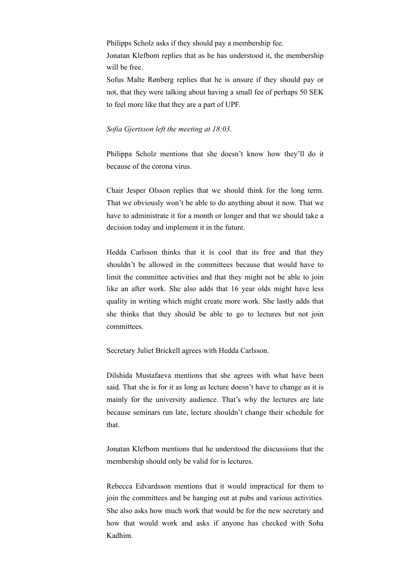Philipps Scholz asks if they should pay a membership fee.

Jonatan Klefbom replies that as he has understood it, the membership will be free.

Sofus Malte Rønberg replies that he is unsure if they should pay or not, that they were talking about having a small fee of perhaps 50 SEK to feel more like that they are a part of UPF.

#### *Sofia Gjertsson left the meeting at 18:03.*

Philippa Scholz mentions that she doesn't know how they'll do it because of the corona virus.

Chair Jesper Olsson replies that we should think for the long term. That we obviously won't be able to do anything about it now. That we have to administrate it for a month or longer and that we should take a decision today and implement it in the future.

Hedda Carlsson thinks that it is cool that its free and that they shouldn't be allowed in the committees because that would have to limit the committee activities and that they might not be able to join like an after work. She also adds that 16 year olds might have less quality in writing which might create more work. She lastly adds that she thinks that they should be able to go to lectures but not join committees.

Secretary Juliet Brickell agrees with Hedda Carlsson.

Dilshida Mustafaeva mentions that she agrees with what have been said. That she is for it as long as lecture doesn't have to change as it is mainly for the university audience. That's why the lectures are late because seminars run late, lecture shouldn't change their schedule for that.

Jonatan Klefbom mentions that he understood the discussions that the membership should only be valid for is lectures.

Rebecca Edvardsson mentions that it would impractical for them to join the committees and be hanging out at pubs and various activities. She also asks how much work that would be for the new secretary and how that would work and asks if anyone has checked with Soha Kadhim.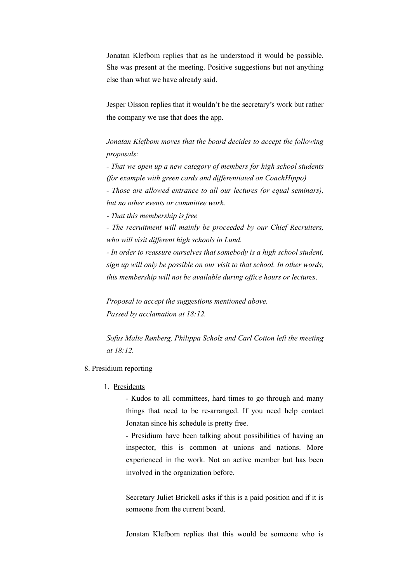Jonatan Klefbom replies that as he understood it would be possible. She was present at the meeting. Positive suggestions but not anything else than what we have already said.

Jesper Olsson replies that it wouldn't be the secretary's work but rather the company we use that does the app.

*Jonatan Klefbom moves that the board decides to accept the following proposals:* 

*- That we open up a new category of members for high school students (for example with green cards and differentiated on CoachHippo)* 

*- Those are allowed entrance to all our lectures (or equal seminars), but no other events or committee work.* 

*- That this membership is free* 

*- The recruitment will mainly be proceeded by our Chief Recruiters, who will visit different high schools in Lund.* 

*- In order to reassure ourselves that somebody is a high school student, sign up will only be possible on our visit to that school. In other words, this membership will not be available during office hours or lectures*.

*Proposal to accept the suggestions mentioned above. Passed by acclamation at 18:12.* 

*Sofus Malte Rønberg, Philippa Scholz and Carl Cotton left the meeting at 18:12.* 

#### 8. Presidium reporting

1. Presidents

- Kudos to all committees, hard times to go through and many things that need to be re-arranged. If you need help contact Jonatan since his schedule is pretty free.

- Presidium have been talking about possibilities of having an inspector, this is common at unions and nations. More experienced in the work. Not an active member but has been involved in the organization before.

Secretary Juliet Brickell asks if this is a paid position and if it is someone from the current board.

Jonatan Klefbom replies that this would be someone who is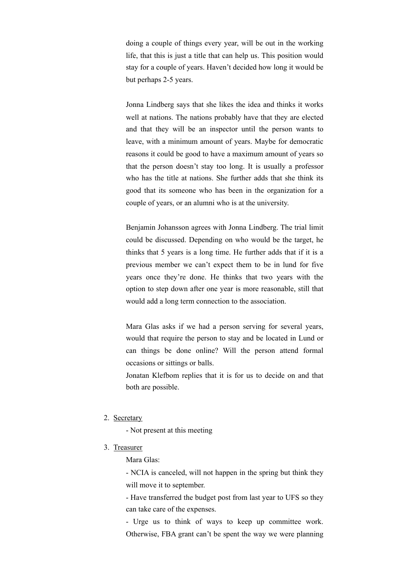doing a couple of things every year, will be out in the working life, that this is just a title that can help us. This position would stay for a couple of years. Haven't decided how long it would be but perhaps 2-5 years.

Jonna Lindberg says that she likes the idea and thinks it works well at nations. The nations probably have that they are elected and that they will be an inspector until the person wants to leave, with a minimum amount of years. Maybe for democratic reasons it could be good to have a maximum amount of years so that the person doesn't stay too long. It is usually a professor who has the title at nations. She further adds that she think its good that its someone who has been in the organization for a couple of years, or an alumni who is at the university.

Benjamin Johansson agrees with Jonna Lindberg. The trial limit could be discussed. Depending on who would be the target, he thinks that 5 years is a long time. He further adds that if it is a previous member we can't expect them to be in lund for five years once they're done. He thinks that two years with the option to step down after one year is more reasonable, still that would add a long term connection to the association.

Mara Glas asks if we had a person serving for several years, would that require the person to stay and be located in Lund or can things be done online? Will the person attend formal occasions or sittings or balls.

Jonatan Klefbom replies that it is for us to decide on and that both are possible.

2. Secretary

- Not present at this meeting

#### 3. Treasurer

Mara Glas:

- NCIA is canceled, will not happen in the spring but think they will move it to september.

- Have transferred the budget post from last year to UFS so they can take care of the expenses.

- Urge us to think of ways to keep up committee work. Otherwise, FBA grant can't be spent the way we were planning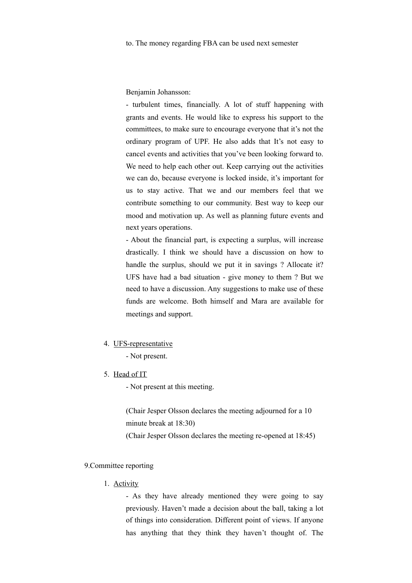Benjamin Johansson:

- turbulent times, financially. A lot of stuff happening with grants and events. He would like to express his support to the committees, to make sure to encourage everyone that it's not the ordinary program of UPF. He also adds that It's not easy to cancel events and activities that you've been looking forward to. We need to help each other out. Keep carrying out the activities we can do, because everyone is locked inside, it's important for us to stay active. That we and our members feel that we contribute something to our community. Best way to keep our mood and motivation up. As well as planning future events and next years operations.

- About the financial part, is expecting a surplus, will increase drastically. I think we should have a discussion on how to handle the surplus, should we put it in savings ? Allocate it? UFS have had a bad situation - give money to them ? But we need to have a discussion. Any suggestions to make use of these funds are welcome. Both himself and Mara are available for meetings and support.

#### 4. UFS-representative

- Not present.

5. Head of IT

- Not present at this meeting.

(Chair Jesper Olsson declares the meeting adjourned for a 10 minute break at 18:30)

(Chair Jesper Olsson declares the meeting re-opened at 18:45)

#### 9.Committee reporting

1. Activity

- As they have already mentioned they were going to say previously. Haven't made a decision about the ball, taking a lot of things into consideration. Different point of views. If anyone has anything that they think they haven't thought of. The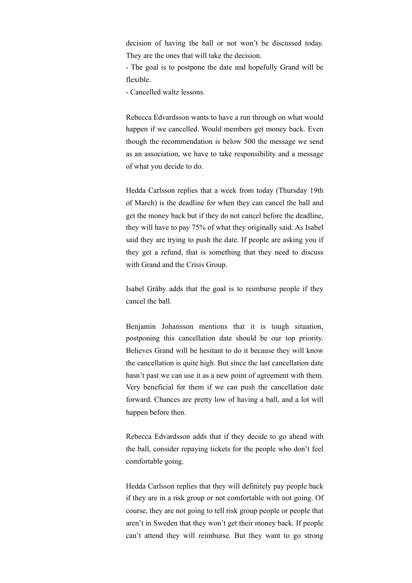decision of having the ball or not won't be discussed today. They are the ones that will take the decision.

- The goal is to postpone the date and hopefully Grand will be flexible.

- Cancelled waltz lessons.

Rebecca Edvardsson wants to have a run through on what would happen if we cancelled. Would members get money back. Even though the recommendation is below 500 the message we send as an association, we have to take responsibility and a message of what you decide to do.

Hedda Carlsson replies that a week from today (Thursday 19th of March) is the deadline for when they can cancel the ball and get the money back but if they do not cancel before the deadline, they will have to pay 75% of what they originally said. As Isabel said they are trying to push the date. If people are asking you if they get a refund, that is something that they need to discuss with Grand and the Crisis Group.

Isabel Gråby adds that the goal is to reimburse people if they cancel the ball.

Benjamin Johansson mentions that it is tough situation, postponing this cancellation date should be our top priority. Believes Grand will be hesitant to do it because they will know the cancellation is quite high. But since the last cancellation date hasn't past we can use it as a new point of agreement with them. Very beneficial for them if we can push the cancellation date forward. Chances are pretty low of having a ball, and a lot will happen before then.

Rebecca Edvardsson adds that if they decide to go ahead with the ball, consider repaying tickets for the people who don't feel comfortable going.

Hedda Carlsson replies that they will definitely pay people back if they are in a risk group or not comfortable with not going. Of course, they are not going to tell risk group people or people that aren't in Sweden that they won't get their money back. If people can't attend they will reimburse. But they want to go strong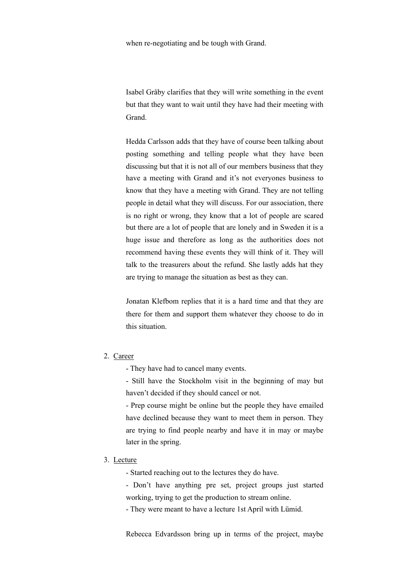when re-negotiating and be tough with Grand.

Isabel Gråby clarifies that they will write something in the event but that they want to wait until they have had their meeting with Grand.

Hedda Carlsson adds that they have of course been talking about posting something and telling people what they have been discussing but that it is not all of our members business that they have a meeting with Grand and it's not everyones business to know that they have a meeting with Grand. They are not telling people in detail what they will discuss. For our association, there is no right or wrong, they know that a lot of people are scared but there are a lot of people that are lonely and in Sweden it is a huge issue and therefore as long as the authorities does not recommend having these events they will think of it. They will talk to the treasurers about the refund. She lastly adds hat they are trying to manage the situation as best as they can.

Jonatan Klefbom replies that it is a hard time and that they are there for them and support them whatever they choose to do in this situation.

#### 2. Career

- They have had to cancel many events.

- Still have the Stockholm visit in the beginning of may but haven't decided if they should cancel or not.

- Prep course might be online but the people they have emailed have declined because they want to meet them in person. They are trying to find people nearby and have it in may or maybe later in the spring.

#### 3. Lecture

- Started reaching out to the lectures they do have.

- Don't have anything pre set, project groups just started working, trying to get the production to stream online.

- They were meant to have a lecture 1st April with Lümid.

Rebecca Edvardsson bring up in terms of the project, maybe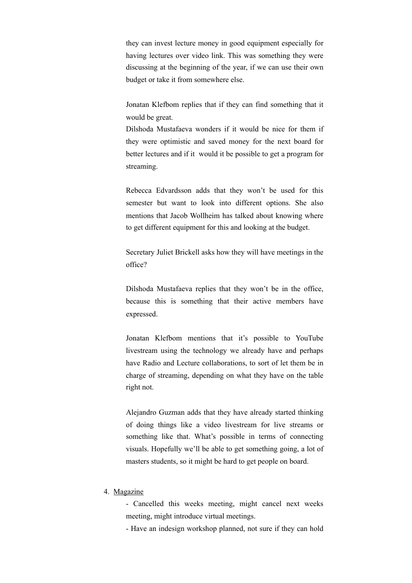they can invest lecture money in good equipment especially for having lectures over video link. This was something they were discussing at the beginning of the year, if we can use their own budget or take it from somewhere else.

Jonatan Klefbom replies that if they can find something that it would be great.

Dilshoda Mustafaeva wonders if it would be nice for them if they were optimistic and saved money for the next board for better lectures and if it would it be possible to get a program for streaming.

Rebecca Edvardsson adds that they won't be used for this semester but want to look into different options. She also mentions that Jacob Wollheim has talked about knowing where to get different equipment for this and looking at the budget.

Secretary Juliet Brickell asks how they will have meetings in the office?

Dilshoda Mustafaeva replies that they won't be in the office, because this is something that their active members have expressed.

Jonatan Klefbom mentions that it's possible to YouTube livestream using the technology we already have and perhaps have Radio and Lecture collaborations, to sort of let them be in charge of streaming, depending on what they have on the table right not.

Alejandro Guzman adds that they have already started thinking of doing things like a video livestream for live streams or something like that. What's possible in terms of connecting visuals. Hopefully we'll be able to get something going, a lot of masters students, so it might be hard to get people on board.

#### 4. Magazine

- Cancelled this weeks meeting, might cancel next weeks meeting, might introduce virtual meetings.

- Have an indesign workshop planned, not sure if they can hold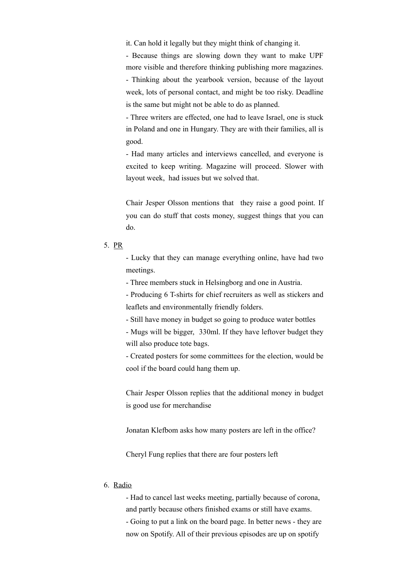it. Can hold it legally but they might think of changing it.

- Because things are slowing down they want to make UPF more visible and therefore thinking publishing more magazines.

- Thinking about the yearbook version, because of the layout week, lots of personal contact, and might be too risky. Deadline is the same but might not be able to do as planned.

- Three writers are effected, one had to leave Israel, one is stuck in Poland and one in Hungary. They are with their families, all is good.

- Had many articles and interviews cancelled, and everyone is excited to keep writing. Magazine will proceed. Slower with layout week, had issues but we solved that.

Chair Jesper Olsson mentions that they raise a good point. If you can do stuff that costs money, suggest things that you can do.

- Lucky that they can manage everything online, have had two meetings.

- Three members stuck in Helsingborg and one in Austria.

- Producing 6 T-shirts for chief recruiters as well as stickers and leaflets and environmentally friendly folders.

- Still have money in budget so going to produce water bottles

- Mugs will be bigger, 330ml. If they have leftover budget they will also produce tote bags.

- Created posters for some committees for the election, would be cool if the board could hang them up.

Chair Jesper Olsson replies that the additional money in budget is good use for merchandise

Jonatan Klefbom asks how many posters are left in the office?

Cheryl Fung replies that there are four posters left

### 6. Radio

- Had to cancel last weeks meeting, partially because of corona, and partly because others finished exams or still have exams.

- Going to put a link on the board page. In better news - they are now on Spotify. All of their previous episodes are up on spotify

<sup>5.</sup> PR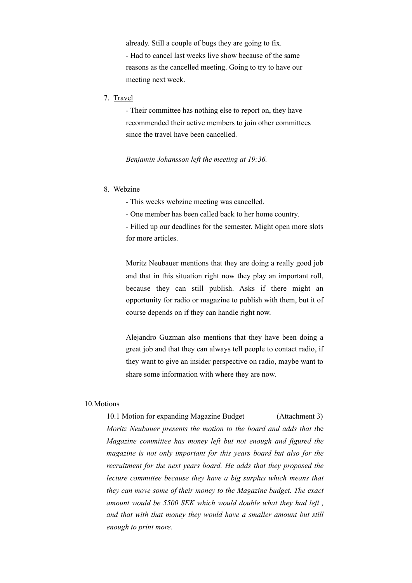already. Still a couple of bugs they are going to fix. - Had to cancel last weeks live show because of the same reasons as the cancelled meeting. Going to try to have our meeting next week.

7. Travel

- Their committee has nothing else to report on, they have recommended their active members to join other committees since the travel have been cancelled.

*Benjamin Johansson left the meeting at 19:36.* 

#### 8. Webzine

- This weeks webzine meeting was cancelled.

- One member has been called back to her home country.

- Filled up our deadlines for the semester. Might open more slots for more articles.

Moritz Neubauer mentions that they are doing a really good job and that in this situation right now they play an important roll, because they can still publish. Asks if there might an opportunity for radio or magazine to publish with them, but it of course depends on if they can handle right now.

Alejandro Guzman also mentions that they have been doing a great job and that they can always tell people to contact radio, if they want to give an insider perspective on radio, maybe want to share some information with where they are now.

#### 10.Motions

#### 10.1 Motion for expanding Magazine Budget (Attachment 3)

*Moritz Neubauer presents the motion to the board and adds that t*he *Magazine committee has money left but not enough and figured the magazine is not only important for this years board but also for the recruitment for the next years board. He adds that they proposed the lecture committee because they have a big surplus which means that they can move some of their money to the Magazine budget. The exact amount would be 5500 SEK which would double what they had left , and that with that money they would have a smaller amount but still enough to print more.*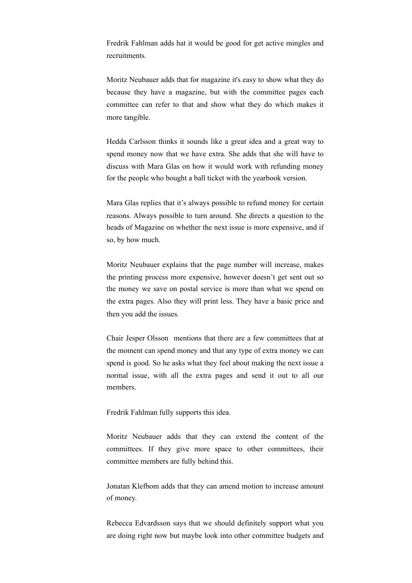Fredrik Fahlman adds hat it would be good for get active mingles and recruitments.

Moritz Neubauer adds that for magazine it's easy to show what they do because they have a magazine, but with the committee pages each committee can refer to that and show what they do which makes it more tangible.

Hedda Carlsson thinks it sounds like a great idea and a great way to spend money now that we have extra. She adds that she will have to discuss with Mara Glas on how it would work with refunding money for the people who bought a ball ticket with the yearbook version.

Mara Glas replies that it's always possible to refund money for certain reasons. Always possible to turn around. She directs a question to the heads of Magazine on whether the next issue is more expensive, and if so, by how much.

Moritz Neubauer explains that the page number will increase, makes the printing process more expensive, however doesn't get sent out so the money we save on postal service is more than what we spend on the extra pages. Also they will print less. They have a basic price and then you add the issues.

Chair Jesper Olsson mentions that there are a few committees that at the moment can spend money and that any type of extra money we can spend is good. So he asks what they feel about making the next issue a normal issue, with all the extra pages and send it out to all our members.

Fredrik Fahlman fully supports this idea.

Moritz Neubauer adds that they can extend the content of the committees. If they give more space to other committees, their committee members are fully behind this.

Jonatan Klefbom adds that they can amend motion to increase amount of money.

Rebecca Edvardsson says that we should definitely support what you are doing right now but maybe look into other committee budgets and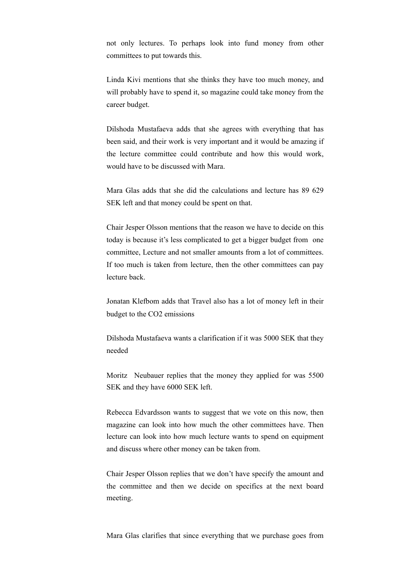not only lectures. To perhaps look into fund money from other committees to put towards this.

Linda Kivi mentions that she thinks they have too much money, and will probably have to spend it, so magazine could take money from the career budget.

Dilshoda Mustafaeva adds that she agrees with everything that has been said, and their work is very important and it would be amazing if the lecture committee could contribute and how this would work, would have to be discussed with Mara.

Mara Glas adds that she did the calculations and lecture has 89 629 SEK left and that money could be spent on that.

Chair Jesper Olsson mentions that the reason we have to decide on this today is because it's less complicated to get a bigger budget from one committee, Lecture and not smaller amounts from a lot of committees. If too much is taken from lecture, then the other committees can pay lecture back.

Jonatan Klefbom adds that Travel also has a lot of money left in their budget to the CO2 emissions

Dilshoda Mustafaeva wants a clarification if it was 5000 SEK that they needed

Moritz Neubauer replies that the money they applied for was 5500 SEK and they have 6000 SEK left.

Rebecca Edvardsson wants to suggest that we vote on this now, then magazine can look into how much the other committees have. Then lecture can look into how much lecture wants to spend on equipment and discuss where other money can be taken from.

Chair Jesper Olsson replies that we don't have specify the amount and the committee and then we decide on specifics at the next board meeting.

Mara Glas clarifies that since everything that we purchase goes from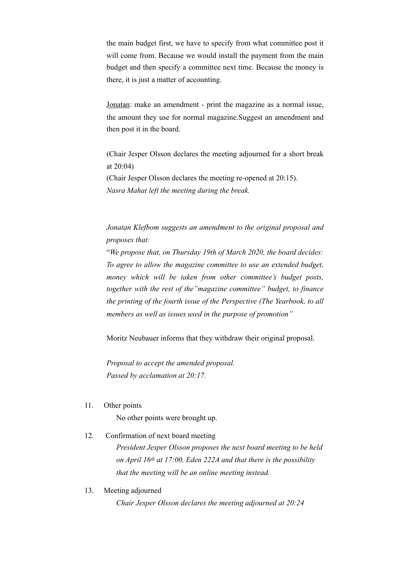the main budget first, we have to specify from what committee post it will come from. Because we would install the payment from the main budget and then specify a committee next time. Because the money is there, it is just a matter of accounting.

Jonatan: make an amendment - print the magazine as a normal issue, the amount they use for normal magazine.Suggest an amendment and then post it in the board.

(Chair Jesper Olsson declares the meeting adjourned for a short break at 20:04) (Chair Jesper Olsson declares the meeting re-opened at 20:15). *Nasra Mahat left the meeting during the break.* 

*Jonatan Klefbom suggests an amendment to the original proposal and proposes that:* 

"*We propose that, on Thursday 19th of March 2020, the board decides: To agree to allow the magazine committee to use an extended budget, money which will be taken from other committee's budget posts, together with the rest of the"magazine committee" budget, to finance the printing of the fourth issue of the Perspective (The Yearbook, to all members as well as issues used in the purpose of promotion"* 

Moritz Neubauer informs that they withdraw their original proposal.

*Proposal to accept the amended proposal. Passed by acclamation at 20:17.* 

11. Other points

No other points were brought up.

12. Confirmation of next board meeting

*President Jesper Olsson proposes the next board meeting to be held on April 16th at 17:00, Eden 222A and that there is the possibility that the meeting will be an online meeting instead.*

13. Meeting adjourned

*Chair Jesper Olsson declares the meeting adjourned at 20:24*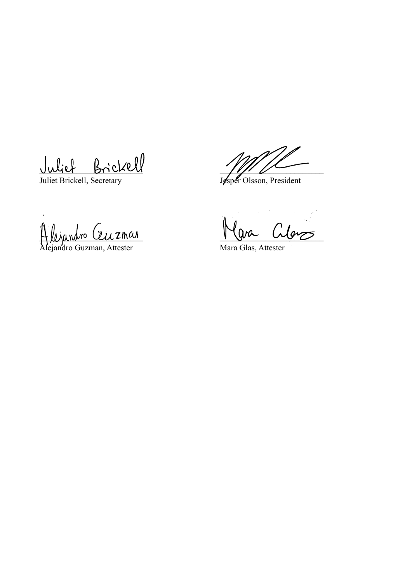Julief Brickell<br>Juliet Brickell, Secretary<br>Juliet Brickell, Secretary

Juliet Brickell, Secretary

Hlenandro Celezinar

Alejandro Guzman, Attester Mara Glas, Attester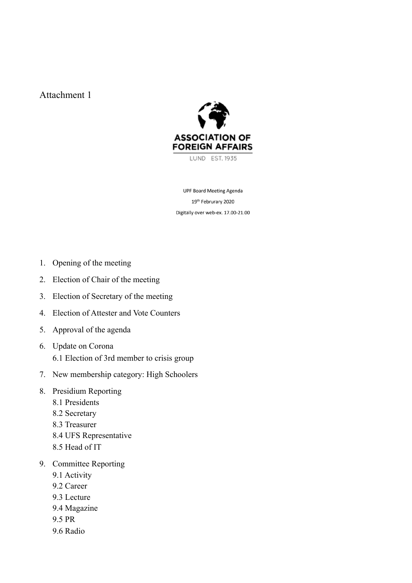## Attachment 1



LUND EST. 1935

**UPF Board Meeting Agenda** 19th Februrary 2020 Digitally over web-ex. 17.00-21.00

- 1. Opening of the meeting
- 2. Election of Chair of the meeting
- 3. Election of Secretary of the meeting
- 4. Election of Attester and Vote Counters
- 5. Approval of the agenda
- 6. Update on Corona 6.1 Election of 3rd member to crisis group
- 7. New membership category: High Schoolers
- 8. Presidium Reporting
	- 8.1 Presidents
	- 8.2 Secretary
	- 8.3 Treasurer
	- 8.4 UFS Representative
	- 8.5 Head of IT
- 9. Committee Reporting
	- 9.1 Activity
	- 9.2 Career
	- 9.3 Lecture
	- 9.4 Magazine
	- 9.5 PR
	- 9.6 Radio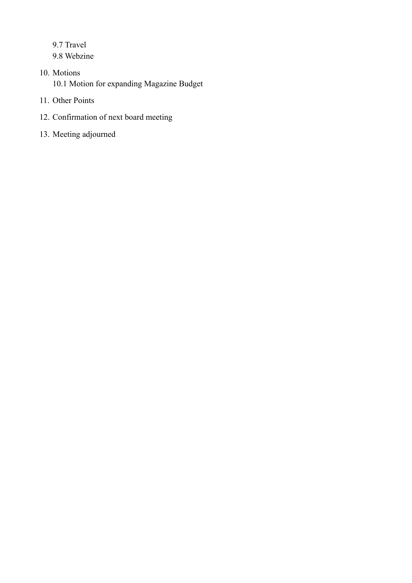9.7 Travel 9.8 Webzine

- 10. Motions 10.1 Motion for expanding Magazine Budget
- 11. Other Points
- 12. Confirmation of next board meeting
- 13. Meeting adjourned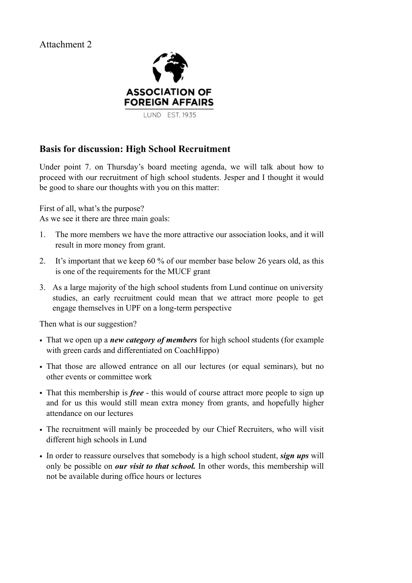## Attachment 2



## **Basis for discussion: High School Recruitment**

Under point 7. on Thursday's board meeting agenda, we will talk about how to proceed with our recruitment of high school students. Jesper and I thought it would be good to share our thoughts with you on this matter:

First of all, what's the purpose?

As we see it there are three main goals:

- 1. The more members we have the more attractive our association looks, and it will result in more money from grant.
- 2. It's important that we keep 60 % of our member base below 26 years old, as this is one of the requirements for the MUCF grant
- 3. As a large majority of the high school students from Lund continue on university studies, an early recruitment could mean that we attract more people to get engage themselves in UPF on a long-term perspective

Then what is our suggestion?

- That we open up a *new category of members* for high school students (for example with green cards and differentiated on CoachHippo)
- That those are allowed entrance on all our lectures (or equal seminars), but no other events or committee work
- That this membership is *free* this would of course attract more people to sign up and for us this would still mean extra money from grants, and hopefully higher attendance on our lectures
- The recruitment will mainly be proceeded by our Chief Recruiters, who will visit different high schools in Lund
- In order to reassure ourselves that somebody is a high school student, *sign ups* will only be possible on *our visit to that school.* In other words, this membership will not be available during office hours or lectures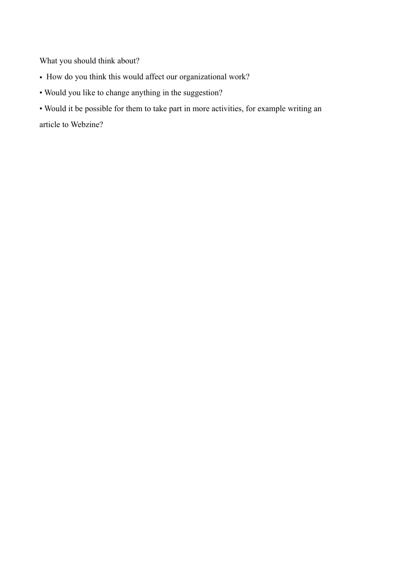What you should think about?

- How do you think this would affect our organizational work?
- Would you like to change anything in the suggestion?
- Would it be possible for them to take part in more activities, for example writing an article to Webzine?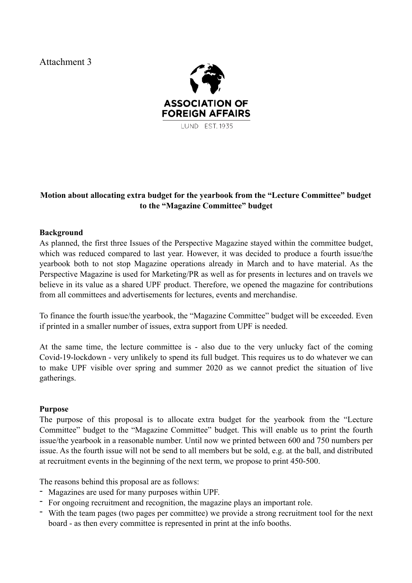Attachment 3



## **Motion about allocating extra budget for the yearbook from the "Lecture Committee" budget to the "Magazine Committee" budget**

## **Background**

As planned, the first three Issues of the Perspective Magazine stayed within the committee budget, which was reduced compared to last year. However, it was decided to produce a fourth issue/the yearbook both to not stop Magazine operations already in March and to have material. As the Perspective Magazine is used for Marketing/PR as well as for presents in lectures and on travels we believe in its value as a shared UPF product. Therefore, we opened the magazine for contributions from all committees and advertisements for lectures, events and merchandise.

To finance the fourth issue/the yearbook, the "Magazine Committee" budget will be exceeded. Even if printed in a smaller number of issues, extra support from UPF is needed.

At the same time, the lecture committee is - also due to the very unlucky fact of the coming Covid-19-lockdown - very unlikely to spend its full budget. This requires us to do whatever we can to make UPF visible over spring and summer 2020 as we cannot predict the situation of live gatherings.

## **Purpose**

The purpose of this proposal is to allocate extra budget for the yearbook from the "Lecture Committee" budget to the "Magazine Committee" budget. This will enable us to print the fourth issue/the yearbook in a reasonable number. Until now we printed between 600 and 750 numbers per issue. As the fourth issue will not be send to all members but be sold, e.g. at the ball, and distributed at recruitment events in the beginning of the next term, we propose to print 450-500.

The reasons behind this proposal are as follows:

- Magazines are used for many purposes within UPF.
- For ongoing recruitment and recognition, the magazine plays an important role.
- With the team pages (two pages per committee) we provide a strong recruitment tool for the next board - as then every committee is represented in print at the info booths.